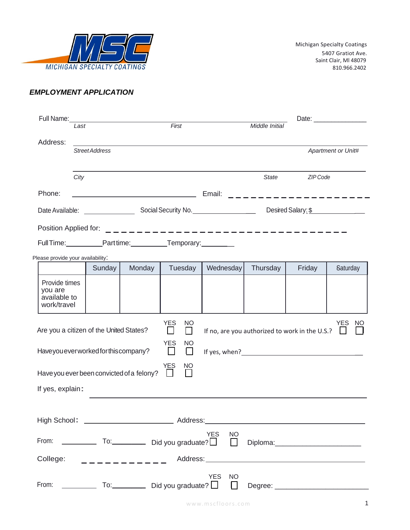

## *EMPLOYMENT APPLICATION*

|                                                                                                                                                                                         |      |                       | Full Name: Management of the Contract of the Contract of the Contract of the Contract of the Contract of the Contract of the Contract of the Contract of the Contract of the Contract of the Contract of the Contract of the C |                                  |           |                |          |                    |  |  |
|-----------------------------------------------------------------------------------------------------------------------------------------------------------------------------------------|------|-----------------------|--------------------------------------------------------------------------------------------------------------------------------------------------------------------------------------------------------------------------------|----------------------------------|-----------|----------------|----------|--------------------|--|--|
|                                                                                                                                                                                         | Last |                       |                                                                                                                                                                                                                                | First                            |           | Middle Initial |          |                    |  |  |
| Address:                                                                                                                                                                                |      | <b>Street Address</b> |                                                                                                                                                                                                                                |                                  |           |                |          | Apartment or Unit# |  |  |
|                                                                                                                                                                                         | City |                       |                                                                                                                                                                                                                                |                                  |           | <b>State</b>   | ZIP Code |                    |  |  |
| Phone:                                                                                                                                                                                  |      |                       |                                                                                                                                                                                                                                |                                  |           |                |          |                    |  |  |
|                                                                                                                                                                                         |      |                       |                                                                                                                                                                                                                                |                                  |           |                |          |                    |  |  |
| Position Applied for:                                                                                                                                                                   |      |                       |                                                                                                                                                                                                                                |                                  |           |                |          |                    |  |  |
|                                                                                                                                                                                         |      |                       |                                                                                                                                                                                                                                | Full Time: Part time: Temporary: |           |                |          |                    |  |  |
| Please provide your availability:                                                                                                                                                       |      |                       |                                                                                                                                                                                                                                |                                  |           |                |          |                    |  |  |
|                                                                                                                                                                                         |      | Sunday                | Monday                                                                                                                                                                                                                         | Tuesday                          | Wednesday | Thursday       | Friday   | Saturday           |  |  |
| Provide times<br>you are<br>available to<br>work/travel                                                                                                                                 |      |                       |                                                                                                                                                                                                                                |                                  |           |                |          |                    |  |  |
| <b>YES</b><br><b>YES</b><br>NO.<br>NO.<br>Are you a citizen of the United States?<br>If no, are you authorized to work in the U.S.?<br>$\mathsf{L}$<br>$\mathsf{L}$<br><b>YES</b><br>NO |      |                       |                                                                                                                                                                                                                                |                                  |           |                |          |                    |  |  |
| Have you ever worked for this company?<br>H<br>$\mathsf{L}$                                                                                                                             |      |                       |                                                                                                                                                                                                                                |                                  |           |                |          |                    |  |  |
| <b>YES</b><br>NO<br>Have you ever been convicted of a felony?<br>$\perp$                                                                                                                |      |                       |                                                                                                                                                                                                                                |                                  |           |                |          |                    |  |  |
| If yes, explain:                                                                                                                                                                        |      |                       |                                                                                                                                                                                                                                |                                  |           |                |          |                    |  |  |
|                                                                                                                                                                                         |      |                       |                                                                                                                                                                                                                                |                                  |           |                |          |                    |  |  |
| <b>YES</b><br>NO                                                                                                                                                                        |      |                       |                                                                                                                                                                                                                                |                                  |           |                |          |                    |  |  |
| College:<br>______________________                                                                                                                                                      |      |                       |                                                                                                                                                                                                                                |                                  |           |                |          |                    |  |  |
| YES NO<br>From: $\sqrt{ }$ To: $\sqrt{ }$ Did you graduate? $\Box$                                                                                                                      |      |                       |                                                                                                                                                                                                                                |                                  |           |                |          |                    |  |  |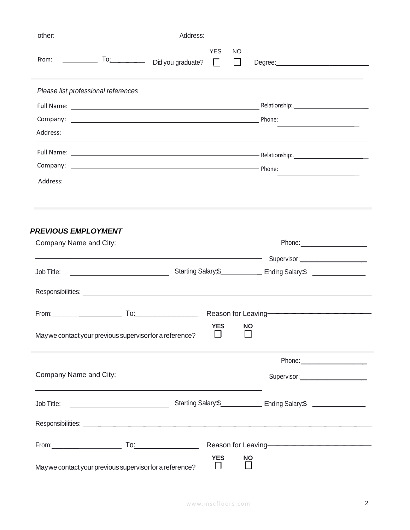| other:                                                             |                                              |                      |                     |                                         |
|--------------------------------------------------------------------|----------------------------------------------|----------------------|---------------------|-----------------------------------------|
| From:                                                              | To: To: Did you graduate?                    | <b>YES</b>           | <b>NO</b><br>$\Box$ |                                         |
| Please list professional references                                |                                              |                      |                     |                                         |
|                                                                    |                                              |                      |                     |                                         |
|                                                                    |                                              |                      |                     |                                         |
| Address:                                                           |                                              |                      |                     |                                         |
|                                                                    |                                              |                      |                     |                                         |
|                                                                    |                                              |                      |                     |                                         |
| Address:                                                           |                                              |                      |                     |                                         |
| <b>PREVIOUS EMPLOYMENT</b><br>Company Name and City:<br>Job Title: | <u> 1980 - Johann Barn, fransk politik (</u> |                      |                     | Supervisor: ____________________        |
|                                                                    |                                              |                      |                     |                                         |
|                                                                    |                                              |                      |                     | Reason for Leaving-                     |
| May we contact your previous supervisor for a reference?           |                                              | <b>YES</b><br>┍      | <b>NO</b>           |                                         |
|                                                                    |                                              |                      |                     |                                         |
| Company Name and City:                                             |                                              |                      |                     |                                         |
|                                                                    |                                              |                      |                     |                                         |
|                                                                    |                                              |                      |                     |                                         |
|                                                                    |                                              |                      |                     | Reason for Leaving- <b>Construction</b> |
| May we contact your previous supervisor for a reference?           |                                              | <b>YES</b><br>$\Box$ | <b>NO</b>           |                                         |